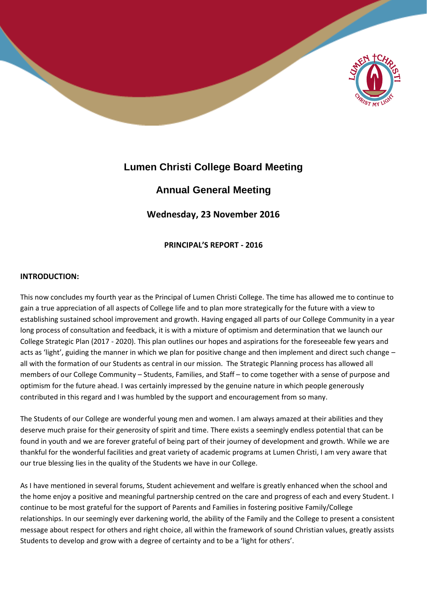

# **Lumen Christi College Board Meeting**

# **Annual General Meeting**

**Wednesday, 23 November 2016**

**PRINCIPAL'S REPORT - 2016**

# **INTRODUCTION:**

This now concludes my fourth year as the Principal of Lumen Christi College. The time has allowed me to continue to gain a true appreciation of all aspects of College life and to plan more strategically for the future with a view to establishing sustained school improvement and growth. Having engaged all parts of our College Community in a year long process of consultation and feedback, it is with a mixture of optimism and determination that we launch our College Strategic Plan (2017 - 2020). This plan outlines our hopes and aspirations for the foreseeable few years and acts as 'light', guiding the manner in which we plan for positive change and then implement and direct such change – all with the formation of our Students as central in our mission. The Strategic Planning process has allowed all members of our College Community – Students, Families, and Staff – to come together with a sense of purpose and optimism for the future ahead. I was certainly impressed by the genuine nature in which people generously contributed in this regard and I was humbled by the support and encouragement from so many.

The Students of our College are wonderful young men and women. I am always amazed at their abilities and they deserve much praise for their generosity of spirit and time. There exists a seemingly endless potential that can be found in youth and we are forever grateful of being part of their journey of development and growth. While we are thankful for the wonderful facilities and great variety of academic programs at Lumen Christi, I am very aware that our true blessing lies in the quality of the Students we have in our College.

As I have mentioned in several forums, Student achievement and welfare is greatly enhanced when the school and the home enjoy a positive and meaningful partnership centred on the care and progress of each and every Student. I continue to be most grateful for the support of Parents and Families in fostering positive Family/College relationships. In our seemingly ever darkening world, the ability of the Family and the College to present a consistent message about respect for others and right choice, all within the framework of sound Christian values, greatly assists Students to develop and grow with a degree of certainty and to be a 'light for others'.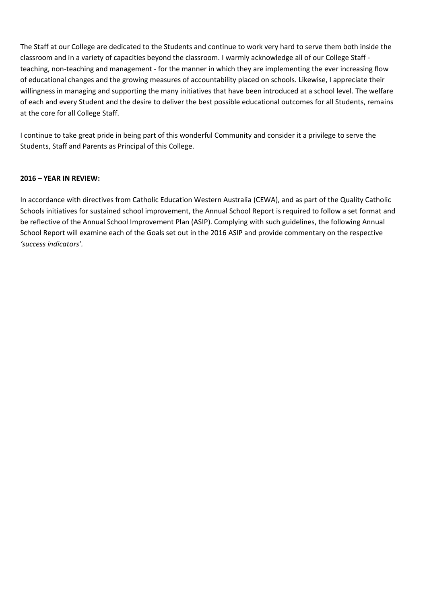The Staff at our College are dedicated to the Students and continue to work very hard to serve them both inside the classroom and in a variety of capacities beyond the classroom. I warmly acknowledge all of our College Staff teaching, non-teaching and management - for the manner in which they are implementing the ever increasing flow of educational changes and the growing measures of accountability placed on schools. Likewise, I appreciate their willingness in managing and supporting the many initiatives that have been introduced at a school level. The welfare of each and every Student and the desire to deliver the best possible educational outcomes for all Students, remains at the core for all College Staff.

I continue to take great pride in being part of this wonderful Community and consider it a privilege to serve the Students, Staff and Parents as Principal of this College.

#### **2016 – YEAR IN REVIEW:**

In accordance with directives from Catholic Education Western Australia (CEWA), and as part of the Quality Catholic Schools initiatives for sustained school improvement, the Annual School Report is required to follow a set format and be reflective of the Annual School Improvement Plan (ASIP). Complying with such guidelines, the following Annual School Report will examine each of the Goals set out in the 2016 ASIP and provide commentary on the respective *'success indicators'.*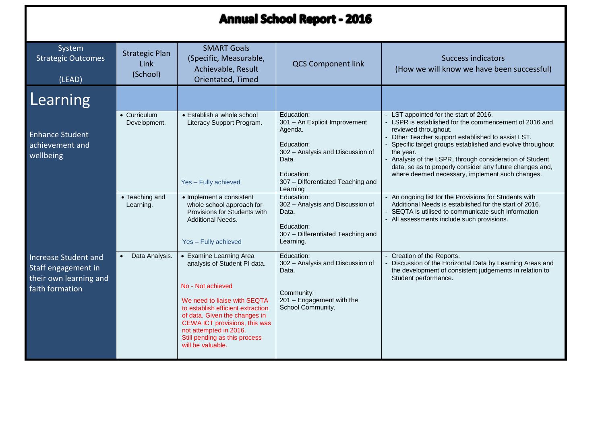# **Annual School Report - 2016**

| System<br><b>Strategic Outcomes</b><br>(LEAD)                                            | <b>SMART Goals</b><br><b>Strategic Plan</b><br>(Specific, Measurable,<br>Link<br>Achievable, Result<br>(School)<br>Orientated, Timed |                                                                                                                                                                                                                                                                                                          | <b>QCS Component link</b>                                                                                               | <b>Success indicators</b><br>(How we will know we have been successful)                                                                                                                                                                                                                                                                                                               |  |
|------------------------------------------------------------------------------------------|--------------------------------------------------------------------------------------------------------------------------------------|----------------------------------------------------------------------------------------------------------------------------------------------------------------------------------------------------------------------------------------------------------------------------------------------------------|-------------------------------------------------------------------------------------------------------------------------|---------------------------------------------------------------------------------------------------------------------------------------------------------------------------------------------------------------------------------------------------------------------------------------------------------------------------------------------------------------------------------------|--|
| Learning                                                                                 |                                                                                                                                      |                                                                                                                                                                                                                                                                                                          |                                                                                                                         |                                                                                                                                                                                                                                                                                                                                                                                       |  |
| <b>Enhance Student</b><br>achievement and<br>wellbeing                                   | • Curriculum<br>Development.                                                                                                         | Education:<br>• Establish a whole school<br>301 - An Explicit Improvement<br>Literacy Support Program.<br>reviewed throughout.<br>Agenda.<br>Education:<br>302 - Analysis and Discussion of<br>the year.<br>Data.<br>Education:<br>307 - Differentiated Teaching and<br>Yes - Fully achieved<br>Learning |                                                                                                                         | LST appointed for the start of 2016.<br>LSPR is established for the commencement of 2016 and<br>Other Teacher support established to assist LST.<br>Specific target groups established and evolve throughout<br>Analysis of the LSPR, through consideration of Student<br>data, so as to properly consider any future changes and,<br>where deemed necessary, implement such changes. |  |
|                                                                                          | • Teaching and<br>Learning.                                                                                                          | • Implement a consistent<br>whole school approach for<br>Provisions for Students with<br><b>Additional Needs.</b><br>Yes - Fully achieved                                                                                                                                                                | Education:<br>302 - Analysis and Discussion of<br>Data.<br>Education:<br>307 - Differentiated Teaching and<br>Learning. | An ongoing list for the Provisions for Students with<br>Additional Needs is established for the start of 2016.<br>SEQTA is utilised to communicate such information<br>All assessments include such provisions.                                                                                                                                                                       |  |
| Increase Student and<br>Staff engagement in<br>their own learning and<br>faith formation | Data Analysis.                                                                                                                       | • Examine Learning Area<br>analysis of Student PI data.<br>No - Not achieved<br>We need to liaise with SEQTA<br>to establish efficient extraction<br>of data. Given the changes in<br>CEWA ICT provisions, this was<br>not attempted in 2016.<br>Still pending as this process<br>will be valuable.      | Education:<br>302 - Analysis and Discussion of<br>Data.<br>Community:<br>201 - Engagement with the<br>School Community. | Creation of the Reports.<br>Discussion of the Horizontal Data by Learning Areas and<br>the development of consistent judgements in relation to<br>Student performance.                                                                                                                                                                                                                |  |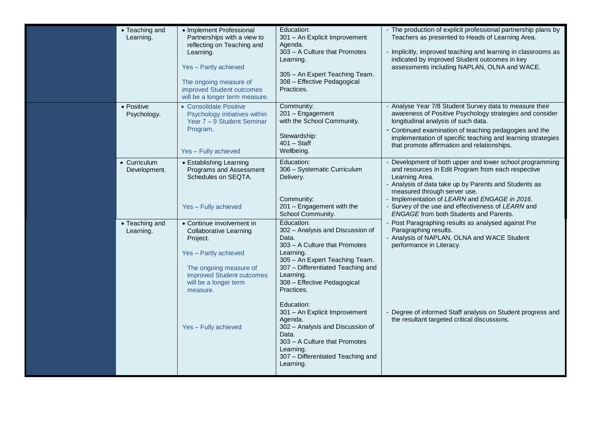| • Teaching and<br>Learning.                                 | • Implement Professional<br>Partnerships with a view to<br>reflecting on Teaching and<br>Learning.<br>Yes - Partly achieved<br>The ongoing measure of<br>improved Student outcomes<br>will be a longer term measure.                                                                             | Education:<br>301 - An Explicit Improvement<br>Agenda.<br>303 - A Culture that Promotes<br>Learning.<br>305 - An Expert Teaching Team.<br>308 - Effective Pedagogical<br>Practices.                                                                                                                                                                                                                                        | - The production of explicit professional partnership plans by<br>Teachers as presented to Heads of Learning Area.<br>Implicitly, improved teaching and learning in classrooms as<br>indicated by improved Student outcomes in key<br>assessments including NAPLAN, OLNA and WACE.                                                                                                                                                                                                                                                                                                                                                                    |
|-------------------------------------------------------------|--------------------------------------------------------------------------------------------------------------------------------------------------------------------------------------------------------------------------------------------------------------------------------------------------|----------------------------------------------------------------------------------------------------------------------------------------------------------------------------------------------------------------------------------------------------------------------------------------------------------------------------------------------------------------------------------------------------------------------------|-------------------------------------------------------------------------------------------------------------------------------------------------------------------------------------------------------------------------------------------------------------------------------------------------------------------------------------------------------------------------------------------------------------------------------------------------------------------------------------------------------------------------------------------------------------------------------------------------------------------------------------------------------|
| • Positive<br>Psychology.                                   | • Consolidate Positive<br>Psychology initiatives within<br>Year 7 - 9 Student Seminar<br>Program.<br>Yes - Fully achieved                                                                                                                                                                        | Community:<br>201 - Engagement<br>with the School Community.<br>Stewardship:<br>$401 - Statf$<br>Wellbeing.                                                                                                                                                                                                                                                                                                                | - Analyse Year 7/8 Student Survey data to measure their<br>awareness of Positive Psychology strategies and consider<br>longitudinal analysis of such data.<br>- Continued examination of teaching pedagogies and the<br>implementation of specific teaching and learning strategies<br>that promote affirmation and relationships.                                                                                                                                                                                                                                                                                                                    |
| • Curriculum<br>Development.<br>• Teaching and<br>Learning. | • Establishing Learning<br>Programs and Assessment<br>Schedules on SEQTA.<br>Yes - Fully achieved<br>• Continue involvement in<br><b>Collaborative Learning</b><br>Project.<br>Yes - Partly achieved<br>The ongoing measure of<br>improved Student outcomes<br>will be a longer term<br>measure. | Education:<br>306 - Systematic Curriculum<br>Delivery.<br>Community:<br>201 - Engagement with the<br>School Community.<br>Education:<br>302 - Analysis and Discussion of<br>Data.<br>303 - A Culture that Promotes<br>Learning.<br>305 - An Expert Teaching Team.<br>307 - Differentiated Teaching and<br>Learning.<br>308 - Effective Pedagogical<br>Practices.<br>Education:<br>301 - An Explicit Improvement<br>Agenda. | Development of both upper and lower school programming<br>and resources in Edit Program from each respective<br>Learning Area.<br>- Analysis of data take up by Parents and Students as<br>measured through server use.<br>- Implementation of LEARN and ENGAGE in 2016.<br>- Survey of the use and effectiveness of LEARN and<br><b>ENGAGE</b> from both Students and Parents.<br>Post Paragraphing results as analysed against Pre<br>Paragraphing results.<br>- Analysis of NAPLAN, OLNA and WACE Student<br>performance in Literacy.<br>Degree of informed Staff analysis on Student progress and<br>the resultant targeted critical discussions. |
|                                                             | Yes - Fully achieved                                                                                                                                                                                                                                                                             | 302 - Analysis and Discussion of<br>Data.<br>303 - A Culture that Promotes<br>Learning.<br>307 - Differentiated Teaching and<br>Learning.                                                                                                                                                                                                                                                                                  |                                                                                                                                                                                                                                                                                                                                                                                                                                                                                                                                                                                                                                                       |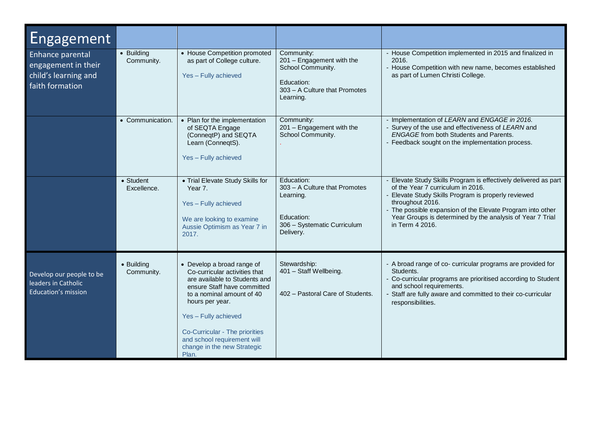| Engagement                                                                                                            |                                                                                                                                                                                                                                                                                                                                                          |                                                                                                                                                                                                                 |                                                                                                                    |                                                                                                                                                                                                                                                                                                                         |
|-----------------------------------------------------------------------------------------------------------------------|----------------------------------------------------------------------------------------------------------------------------------------------------------------------------------------------------------------------------------------------------------------------------------------------------------------------------------------------------------|-----------------------------------------------------------------------------------------------------------------------------------------------------------------------------------------------------------------|--------------------------------------------------------------------------------------------------------------------|-------------------------------------------------------------------------------------------------------------------------------------------------------------------------------------------------------------------------------------------------------------------------------------------------------------------------|
| • Building<br><b>Enhance parental</b><br>Community.<br>engagement in their<br>child's learning and<br>faith formation |                                                                                                                                                                                                                                                                                                                                                          | • House Competition promoted<br>Community:<br>201 - Engagement with the<br>as part of College culture.<br>School Community.<br>Yes - Fully achieved<br>Education:<br>303 - A Culture that Promotes<br>Learning. |                                                                                                                    | House Competition implemented in 2015 and finalized in<br>2016.<br>House Competition with new name, becomes established<br>as part of Lumen Christi College.                                                                                                                                                            |
|                                                                                                                       | • Communication.                                                                                                                                                                                                                                                                                                                                         | • Plan for the implementation<br>of SEQTA Engage<br>(ConneqtP) and SEQTA<br>Learn (ConneqtS).<br>Yes - Fully achieved                                                                                           | Community:<br>201 - Engagement with the<br>School Community.                                                       | Implementation of LEARN and ENGAGE in 2016.<br>Survey of the use and effectiveness of LEARN and<br><b>ENGAGE</b> from both Students and Parents.<br>Feedback sought on the implementation process.                                                                                                                      |
|                                                                                                                       | • Student<br>Excellence.                                                                                                                                                                                                                                                                                                                                 | • Trial Elevate Study Skills for<br>Year 7.<br>Yes - Fully achieved<br>We are looking to examine<br>Aussie Optimism as Year 7 in<br>2017.                                                                       | Education:<br>303 - A Culture that Promotes<br>Learning.<br>Education:<br>306 - Systematic Curriculum<br>Delivery. | Elevate Study Skills Program is effectively delivered as part<br>of the Year 7 curriculum in 2016.<br>Elevate Study Skills Program is properly reviewed<br>throughout 2016.<br>The possible expansion of the Elevate Program into other<br>Year Groups is determined by the analysis of Year 7 Trial<br>in Term 4 2016. |
| Develop our people to be<br>leaders in Catholic<br>Education's mission                                                | • Develop a broad range of<br>Stewardship:<br>• Building<br>Co-curricular activities that<br>Community.<br>are available to Students and<br>ensure Staff have committed<br>to a nominal amount of 40<br>hours per year.<br>Yes - Fully achieved<br>Co-Curricular - The priorities<br>and school requirement will<br>change in the new Strategic<br>Plan. |                                                                                                                                                                                                                 | 401 - Staff Wellbeing.<br>402 - Pastoral Care of Students.                                                         | - A broad range of co- curricular programs are provided for<br>Students.<br>Co-curricular programs are prioritised according to Student<br>and school requirements.<br>Staff are fully aware and committed to their co-curricular<br>responsibilities.                                                                  |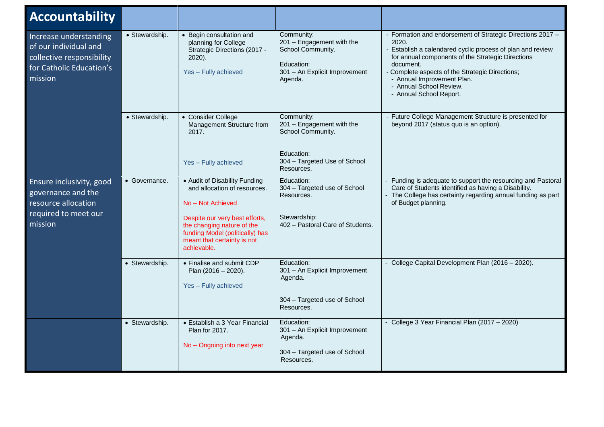| <b>Accountability</b>                                                                                               |                |                                                                                                                                                                                                                                     |                                                                                                                          |                                                                                                                                                                                                                                                                                                                                            |
|---------------------------------------------------------------------------------------------------------------------|----------------|-------------------------------------------------------------------------------------------------------------------------------------------------------------------------------------------------------------------------------------|--------------------------------------------------------------------------------------------------------------------------|--------------------------------------------------------------------------------------------------------------------------------------------------------------------------------------------------------------------------------------------------------------------------------------------------------------------------------------------|
| Increase understanding<br>of our individual and<br>collective responsibility<br>for Catholic Education's<br>mission | · Stewardship. | • Begin consultation and<br>planning for College<br>Strategic Directions (2017 -<br>2020).<br>Yes - Fully achieved                                                                                                                  | Community:<br>201 - Engagement with the<br>School Community.<br>Education:<br>301 - An Explicit Improvement<br>Agenda.   | - Formation and endorsement of Strategic Directions 2017 -<br>2020.<br>- Establish a calendared cyclic process of plan and review<br>for annual components of the Strategic Directions<br>document.<br>- Complete aspects of the Strategic Directions;<br>- Annual Improvement Plan.<br>- Annual School Review.<br>- Annual School Report. |
|                                                                                                                     | • Stewardship. | • Consider College<br>Management Structure from<br>2017.<br>Yes - Fully achieved                                                                                                                                                    | Community:<br>201 - Engagement with the<br>School Community.<br>Education:<br>304 - Targeted Use of School<br>Resources. | - Future College Management Structure is presented for<br>beyond 2017 (status quo is an option).                                                                                                                                                                                                                                           |
| Ensure inclusivity, good<br>governance and the<br>resource allocation<br>required to meet our<br>mission            | • Governance.  | • Audit of Disability Funding<br>and allocation of resources.<br>No - Not Achieved<br>Despite our very best efforts,<br>the changing nature of the<br>funding Model (politically) has<br>meant that certainty is not<br>achievable. | Education:<br>304 - Targeted use of School<br>Resources.<br>Stewardship:<br>402 - Pastoral Care of Students.             | - Funding is adequate to support the resourcing and Pastoral<br>Care of Students identified as having a Disability.<br>- The College has certainty regarding annual funding as part<br>of Budget planning.                                                                                                                                 |
|                                                                                                                     | • Stewardship. | • Finalise and submit CDP<br>Plan (2016 - 2020).<br>Yes - Fully achieved                                                                                                                                                            | Education:<br>301 - An Explicit Improvement<br>Agenda.<br>304 - Targeted use of School<br>Resources.                     | - College Capital Development Plan (2016 - 2020).                                                                                                                                                                                                                                                                                          |
|                                                                                                                     | • Stewardship. | • Establish a 3 Year Financial<br><b>Plan for 2017.</b><br>No - Ongoing into next year                                                                                                                                              | Education:<br>301 - An Explicit Improvement<br>Agenda.<br>304 - Targeted use of School<br>Resources.                     | - College 3 Year Financial Plan (2017 - 2020)                                                                                                                                                                                                                                                                                              |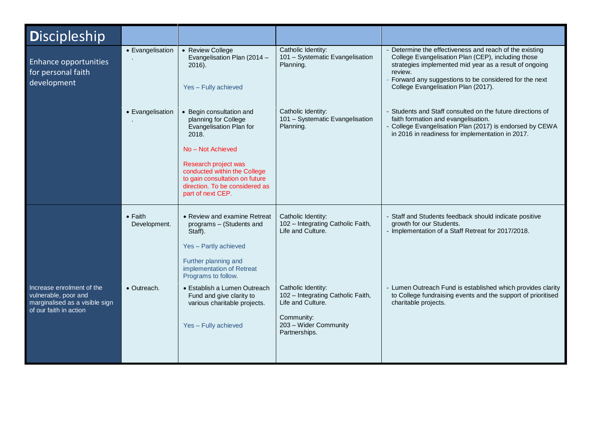| <b>Discipleship</b>                                                                                           |                                 |                                                                                                                                                                                                                                                            |                                                                                                                                      |                                                                                                                                                                                                                                                                                  |
|---------------------------------------------------------------------------------------------------------------|---------------------------------|------------------------------------------------------------------------------------------------------------------------------------------------------------------------------------------------------------------------------------------------------------|--------------------------------------------------------------------------------------------------------------------------------------|----------------------------------------------------------------------------------------------------------------------------------------------------------------------------------------------------------------------------------------------------------------------------------|
| Enhance opportunities<br>for personal faith<br>development                                                    | • Evangelisation                | • Review College<br>Evangelisation Plan (2014 -<br>$2016$ ).<br>Yes - Fully achieved                                                                                                                                                                       | Catholic Identity:<br>101 - Systematic Evangelisation<br>Planning.                                                                   | Determine the effectiveness and reach of the existing<br>College Evangelisation Plan (CEP), including those<br>strategies implemented mid year as a result of ongoing<br>review.<br>Forward any suggestions to be considered for the next<br>College Evangelisation Plan (2017). |
|                                                                                                               | • Evangelisation                | • Begin consultation and<br>planning for College<br>Evangelisation Plan for<br>2018.<br>No - Not Achieved<br>Research project was<br>conducted within the College<br>to gain consultation on future<br>direction. To be considered as<br>part of next CEP. | Catholic Identity:<br>101 - Systematic Evangelisation<br>Planning.                                                                   | - Students and Staff consulted on the future directions of<br>faith formation and evangelisation.<br>- College Evangelisation Plan (2017) is endorsed by CEWA<br>in 2016 in readiness for implementation in 2017.                                                                |
|                                                                                                               | $\bullet$ Faith<br>Development. | • Review and examine Retreat<br>programs - (Students and<br>Staff).<br>Yes - Partly achieved<br>Further planning and<br>implementation of Retreat<br>Programs to follow.                                                                                   | Catholic Identity:<br>102 - Integrating Catholic Faith,<br>Life and Culture.                                                         | - Staff and Students feedback should indicate positive<br>growth for our Students.<br>- Implementation of a Staff Retreat for 2017/2018.                                                                                                                                         |
| Increase enrolment of the<br>vulnerable, poor and<br>marginalised as a visible sign<br>of our faith in action | • Outreach.                     | • Establish a Lumen Outreach<br>Fund and give clarity to<br>various charitable projects.<br>Yes - Fully achieved                                                                                                                                           | Catholic Identity:<br>102 - Integrating Catholic Faith,<br>Life and Culture.<br>Community:<br>203 - Wider Community<br>Partnerships. | Lumen Outreach Fund is established which provides clarity<br>to College fundraising events and the support of prioritised<br>charitable projects.                                                                                                                                |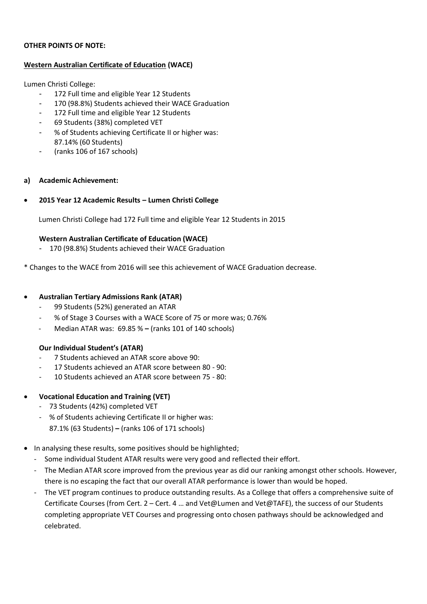#### **OTHER POINTS OF NOTE:**

#### **Western Australian Certificate of Education (WACE)**

Lumen Christi College:

- 172 Full time and eligible Year 12 Students
- 170 (98.8%) Students achieved their WACE Graduation
- 172 Full time and eligible Year 12 Students
- 69 Students (38%) completed VET
- % of Students achieving Certificate II or higher was: 87.14% (60 Students)
- (ranks 106 of 167 schools)

# **a) Academic Achievement:**

• **2015 Year 12 Academic Results – Lumen Christi College**

Lumen Christi College had 172 Full time and eligible Year 12 Students in 2015

#### **Western Australian Certificate of Education (WACE)**

- 170 (98.8%) Students achieved their WACE Graduation

\* Changes to the WACE from 2016 will see this achievement of WACE Graduation decrease.

#### • **Australian Tertiary Admissions Rank (ATAR)**

- 99 Students (52%) generated an ATAR
- % of Stage 3 Courses with a WACE Score of 75 or more was; 0.76%
- Median ATAR was: 69.85 % **–** (ranks 101 of 140 schools)

# **Our Individual Student's (ATAR)**

- 7 Students achieved an ATAR score above 90:
- 17 Students achieved an ATAR score between 80 90:
- 10 Students achieved an ATAR score between 75 80:
- **Vocational Education and Training (VET)**
	- 73 Students (42%) completed VET
	- % of Students achieving Certificate II or higher was: 87.1% (63 Students) **–** (ranks 106 of 171 schools)
- In analysing these results, some positives should be highlighted;
	- Some individual Student ATAR results were very good and reflected their effort.
	- The Median ATAR score improved from the previous year as did our ranking amongst other schools. However, there is no escaping the fact that our overall ATAR performance is lower than would be hoped.
	- The VET program continues to produce outstanding results. As a College that offers a comprehensive suite of Certificate Courses (from Cert. 2 – Cert. 4 … and Vet@Lumen and Vet@TAFE), the success of our Students completing appropriate VET Courses and progressing onto chosen pathways should be acknowledged and celebrated.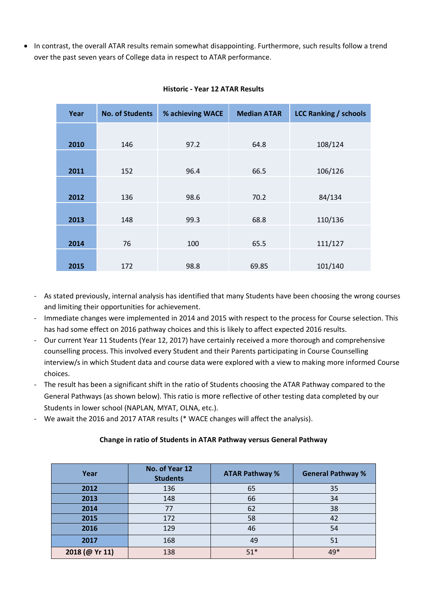• In contrast, the overall ATAR results remain somewhat disappointing. Furthermore, such results follow a trend over the past seven years of College data in respect to ATAR performance.

| Year | <b>No. of Students</b> | % achieving WACE | <b>Median ATAR</b> | <b>LCC Ranking / schools</b> |
|------|------------------------|------------------|--------------------|------------------------------|
|      |                        |                  |                    |                              |
| 2010 | 146                    | 97.2             | 64.8               | 108/124                      |
|      |                        |                  |                    |                              |
|      |                        |                  |                    |                              |
| 2011 | 152                    | 96.4             | 66.5               | 106/126                      |
|      |                        |                  |                    |                              |
|      |                        |                  |                    |                              |
| 2012 | 136                    | 98.6             | 70.2               | 84/134                       |
|      |                        |                  |                    |                              |
|      |                        |                  |                    |                              |
| 2013 | 148                    | 99.3             | 68.8               | 110/136                      |
|      |                        |                  |                    |                              |
| 2014 | 76                     | 100              | 65.5               | 111/127                      |
|      |                        |                  |                    |                              |
|      |                        |                  |                    |                              |
| 2015 | 172                    | 98.8             | 69.85              | 101/140                      |

#### **Historic - Year 12 ATAR Results**

- As stated previously, internal analysis has identified that many Students have been choosing the wrong courses and limiting their opportunities for achievement.
- Immediate changes were implemented in 2014 and 2015 with respect to the process for Course selection. This has had some effect on 2016 pathway choices and this is likely to affect expected 2016 results.
- Our current Year 11 Students (Year 12, 2017) have certainly received a more thorough and comprehensive counselling process. This involved every Student and their Parents participating in Course Counselling interview/s in which Student data and course data were explored with a view to making more informed Course choices.
- The result has been a significant shift in the ratio of Students choosing the ATAR Pathway compared to the General Pathways (as shown below). This ratio is more reflective of other testing data completed by our Students in lower school (NAPLAN, MYAT, OLNA, etc.).
- We await the 2016 and 2017 ATAR results (\* WACE changes will affect the analysis).

# **Change in ratio of Students in ATAR Pathway versus General Pathway**

| Year           | No. of Year 12<br><b>Students</b> | <b>ATAR Pathway %</b> | <b>General Pathway %</b> |  |
|----------------|-----------------------------------|-----------------------|--------------------------|--|
| 2012           | 136                               | 65                    | 35                       |  |
| 2013           | 148                               | 66                    | 34                       |  |
| 2014           | 77                                | 62                    | 38                       |  |
| 2015           | 172                               | 58                    | 42                       |  |
| 2016           | 129                               | 46                    | 54                       |  |
| 2017           | 168                               | 49                    | 51                       |  |
| 2018 (@ Yr 11) | 138                               | $51*$                 | 49*                      |  |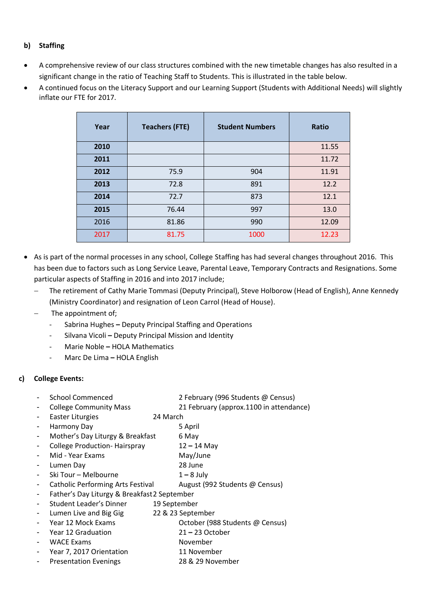# **b) Staffing**

- A comprehensive review of our class structures combined with the new timetable changes has also resulted in a significant change in the ratio of Teaching Staff to Students. This is illustrated in the table below.
- A continued focus on the Literacy Support and our Learning Support (Students with Additional Needs) will slightly inflate our FTE for 2017.

| Year | <b>Teachers (FTE)</b> | <b>Student Numbers</b> | Ratio |
|------|-----------------------|------------------------|-------|
| 2010 |                       |                        | 11.55 |
| 2011 |                       |                        | 11.72 |
| 2012 | 75.9                  | 904                    | 11.91 |
| 2013 | 72.8                  | 891                    | 12.2  |
| 2014 | 72.7                  | 873                    | 12.1  |
| 2015 | 76.44                 | 997                    | 13.0  |
| 2016 | 81.86                 | 990                    | 12.09 |
| 2017 | 81.75                 | 1000                   | 12.23 |

- As is part of the normal processes in any school, College Staffing has had several changes throughout 2016. This has been due to factors such as Long Service Leave, Parental Leave, Temporary Contracts and Resignations. Some particular aspects of Staffing in 2016 and into 2017 include;
	- The retirement of Cathy Marie Tommasi (Deputy Principal), Steve Holborow (Head of English), Anne Kennedy (Ministry Coordinator) and resignation of Leon Carrol (Head of House).
	- The appointment of:
		- Sabrina Hughes **–** Deputy Principal Staffing and Operations
		- Silvana Vicoli **–** Deputy Principal Mission and Identity
		- Marie Noble **–** HOLA Mathematics
		- Marc De Lima **–** HOLA English

# **c) College Events:**

- School Commenced 2 February (996 Students @ Census)
- College Community Mass 21 February (approx.1100 in attendance)
- Easter Liturgies 24 March
- Harmony Day **5 April**
- Mother's Day Liturgy & Breakfast 6 May
- College Production- Hairspray 12 **–** 14 May
- Mid Year Exams May/June
- Lumen Day 28 June
- Ski Tour Melbourne 1 **–** 8 July
- Catholic Performing Arts Festival August (992 Students @ Census)
- Father's Day Liturgy & Breakfast2 September
- Student Leader's Dinner 19 September
- Lumen Live and Big Gig 22 & 23 September
- Year 12 Mock Exams Cotober (988 Students @ Census)
- Year 12 Graduation 21 **–** 23 October
- WACE Exams November
- Year 7, 2017 Orientation 11 November
- Presentation Evenings 28 & 29 November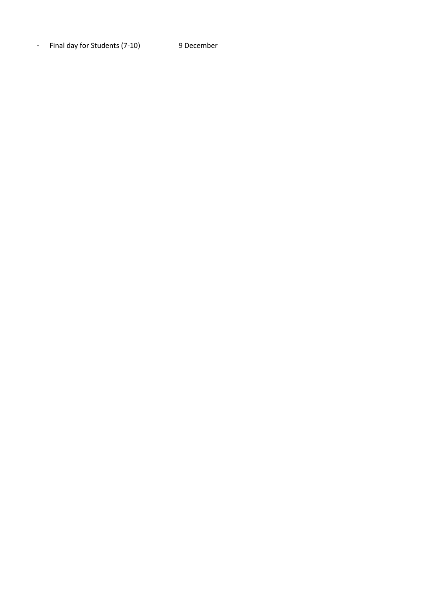- Final day for Student s (7 -10) 9 December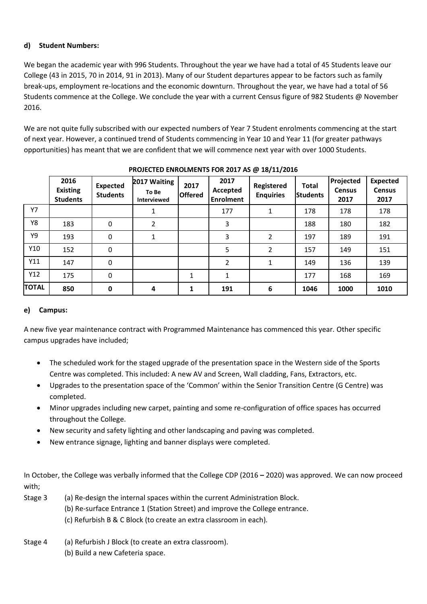# **d) Student Numbers:**

We began the academic year with 996 Students. Throughout the year we have had a total of 45 Students leave our College (43 in 2015, 70 in 2014, 91 in 2013). Many of our Student departures appear to be factors such as family break-ups, employment re-locations and the economic downturn. Throughout the year, we have had a total of 56 Students commence at the College. We conclude the year with a current Census figure of 982 Students @ November 2016.

We are not quite fully subscribed with our expected numbers of Year 7 Student enrolments commencing at the start of next year. However, a continued trend of Students commencing in Year 10 and Year 11 (for greater pathways opportunities) has meant that we are confident that we will commence next year with over 1000 Students.

|              | 2016<br><b>Existing</b><br><b>Students</b> | <b>Expected</b><br><b>Students</b> | 2017 Waiting<br>To Be<br>Interviewed | 2017<br><b>Offered</b> | 2017<br>Accepted<br><b>Enrolment</b> | Registered<br><b>Enquiries</b> | <b>Total</b><br><b>Students</b> | Projected<br><b>Census</b><br>2017 | <b>Expected</b><br><b>Census</b><br>2017 |
|--------------|--------------------------------------------|------------------------------------|--------------------------------------|------------------------|--------------------------------------|--------------------------------|---------------------------------|------------------------------------|------------------------------------------|
| Y7           |                                            |                                    |                                      |                        | 177                                  | 1                              | 178                             | 178                                | 178                                      |
| Y8           | 183                                        | 0                                  | 2                                    |                        | 3                                    |                                | 188                             | 180                                | 182                                      |
| Υ9           | 193                                        | $\pmb{0}$                          | $\mathbf{1}$                         |                        | 3                                    | $\overline{2}$                 | 197                             | 189                                | 191                                      |
| Y10          | 152                                        | 0                                  |                                      |                        | 5                                    | $\overline{2}$                 | 157                             | 149                                | 151                                      |
| Y11          | 147                                        | 0                                  |                                      |                        | 2                                    | 1                              | 149                             | 136                                | 139                                      |
| Y12          | 175                                        | $\pmb{0}$                          |                                      | 1                      | $\mathbf{1}$                         |                                | 177                             | 168                                | 169                                      |
| <b>TOTAL</b> | 850                                        | $\mathbf 0$                        | 4                                    | 1                      | 191                                  | 6                              | 1046                            | 1000                               | 1010                                     |

**PROJECTED ENROLMENTS FOR 2017 AS @ 18/11/2016**

# **e) Campus:**

A new five year maintenance contract with Programmed Maintenance has commenced this year. Other specific campus upgrades have included;

- The scheduled work for the staged upgrade of the presentation space in the Western side of the Sports Centre was completed. This included: A new AV and Screen, Wall cladding, Fans, Extractors, etc.
- Upgrades to the presentation space of the 'Common' within the Senior Transition Centre (G Centre) was completed.
- Minor upgrades including new carpet, painting and some re-configuration of office spaces has occurred throughout the College.
- New security and safety lighting and other landscaping and paving was completed.
- New entrance signage, lighting and banner displays were completed.

In October, the College was verbally informed that the College CDP (2016 **–** 2020) was approved. We can now proceed with;

- Stage 3 (a) Re-design the internal spaces within the current Administration Block. (b) Re-surface Entrance 1 (Station Street) and improve the College entrance. (c) Refurbish B & C Block (to create an extra classroom in each).
- Stage 4 (a) Refurbish J Block (to create an extra classroom). (b) Build a new Cafeteria space.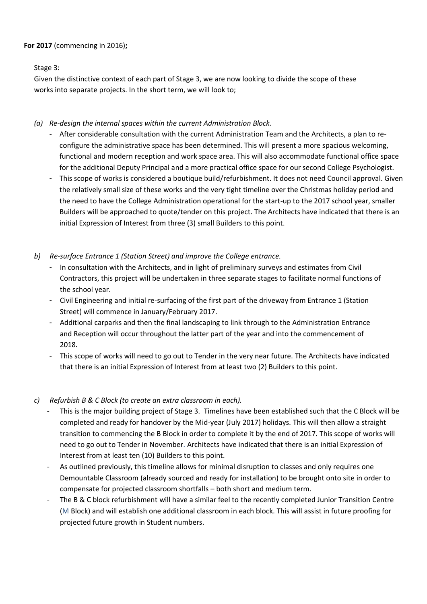# **For 2017** (commencing in 2016)**;**

Stage 3:

Given the distinctive context of each part of Stage 3, we are now looking to divide the scope of these works into separate projects. In the short term, we will look to;

#### *(a) Re-design the internal spaces within the current Administration Block.*

- After considerable consultation with the current Administration Team and the Architects, a plan to reconfigure the administrative space has been determined. This will present a more spacious welcoming, functional and modern reception and work space area. This will also accommodate functional office space for the additional Deputy Principal and a more practical office space for our second College Psychologist.
- This scope of works is considered a boutique build/refurbishment. It does not need Council approval. Given the relatively small size of these works and the very tight timeline over the Christmas holiday period and the need to have the College Administration operational for the start-up to the 2017 school year, smaller Builders will be approached to quote/tender on this project. The Architects have indicated that there is an initial Expression of Interest from three (3) small Builders to this point.
- *b) Re-surface Entrance 1 (Station Street) and improve the College entrance.*
	- In consultation with the Architects, and in light of preliminary surveys and estimates from Civil Contractors, this project will be undertaken in three separate stages to facilitate normal functions of the school year.
	- Civil Engineering and initial re-surfacing of the first part of the driveway from Entrance 1 (Station Street) will commence in January/February 2017.
	- Additional carparks and then the final landscaping to link through to the Administration Entrance and Reception will occur throughout the latter part of the year and into the commencement of 2018.
	- This scope of works will need to go out to Tender in the very near future. The Architects have indicated that there is an initial Expression of Interest from at least two (2) Builders to this point.

# *c) Refurbish B & C Block (to create an extra classroom in each).*

- This is the major building project of Stage 3. Timelines have been established such that the C Block will be completed and ready for handover by the Mid-year (July 2017) holidays. This will then allow a straight transition to commencing the B Block in order to complete it by the end of 2017. This scope of works will need to go out to Tender in November. Architects have indicated that there is an initial Expression of Interest from at least ten (10) Builders to this point.
- As outlined previously, this timeline allows for minimal disruption to classes and only requires one Demountable Classroom (already sourced and ready for installation) to be brought onto site in order to compensate for projected classroom shortfalls – both short and medium term.
- The B & C block refurbishment will have a similar feel to the recently completed Junior Transition Centre (M Block) and will establish one additional classroom in each block. This will assist in future proofing for projected future growth in Student numbers.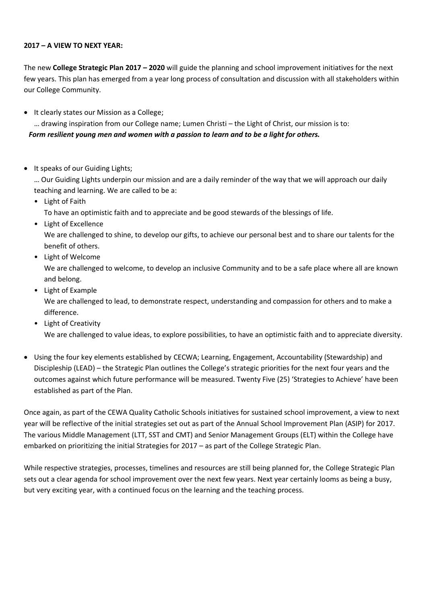#### **2017 – A VIEW TO NEXT YEAR:**

The new **College Strategic Plan 2017 – 2020** will guide the planning and school improvement initiatives for the next few years. This plan has emerged from a year long process of consultation and discussion with all stakeholders within our College Community.

• It clearly states our Mission as a College;

… drawing inspiration from our College name; Lumen Christi – the Light of Christ, our mission is to: *Form resilient young men and women with a passion to learn and to be a light for others.*

• It speaks of our Guiding Lights;

… Our Guiding Lights underpin our mission and are a daily reminder of the way that we will approach our daily teaching and learning. We are called to be a:

• Light of Faith

To have an optimistic faith and to appreciate and be good stewards of the blessings of life.

• Light of Excellence

We are challenged to shine, to develop our gifts, to achieve our personal best and to share our talents for the benefit of others.

• Light of Welcome

We are challenged to welcome, to develop an inclusive Community and to be a safe place where all are known and belong.

• Light of Example

We are challenged to lead, to demonstrate respect, understanding and compassion for others and to make a difference.

• Light of Creativity

We are challenged to value ideas, to explore possibilities, to have an optimistic faith and to appreciate diversity.

• Using the four key elements established by CECWA; Learning, Engagement, Accountability (Stewardship) and Discipleship (LEAD) – the Strategic Plan outlines the College's strategic priorities for the next four years and the outcomes against which future performance will be measured. Twenty Five (25) 'Strategies to Achieve' have been established as part of the Plan.

Once again, as part of the CEWA Quality Catholic Schools initiatives for sustained school improvement, a view to next year will be reflective of the initial strategies set out as part of the Annual School Improvement Plan (ASIP) for 2017. The various Middle Management (LTT, SST and CMT) and Senior Management Groups (ELT) within the College have embarked on prioritizing the initial Strategies for 2017 – as part of the College Strategic Plan.

While respective strategies, processes, timelines and resources are still being planned for, the College Strategic Plan sets out a clear agenda for school improvement over the next few years. Next year certainly looms as being a busy, but very exciting year, with a continued focus on the learning and the teaching process.